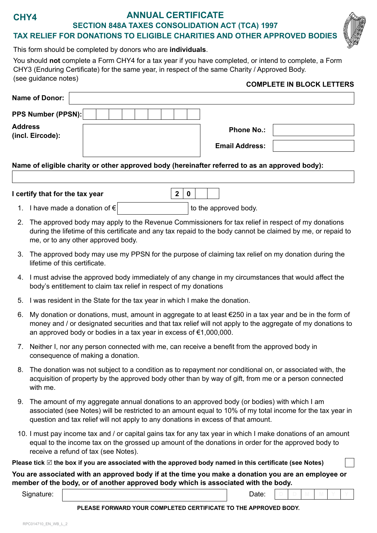# **CHY4**

## **ANNUAL CERTIFICATE**

**SECTION 848A TAXES CONSOLIDATION ACT (TCA) 1997**

**TAX RELIEF FOR DONATIONS TO ELIGIBLE CHARITIES AND OTHER APPROVED BODIES**



This form should be completed by donors who are **individuals**.

You should **not** complete a Form CHY4 for a tax year if you have completed, or intend to complete, a Form CHY3 (Enduring Certificate) for the same year, in respect of the same Charity / Approved Body. (see guidance notes) **COMPLETE IN BLOCK LETTERS**

|                                                                                                |                       | <u>UUMI LETE IN BEUUN LETTENU</u> |
|------------------------------------------------------------------------------------------------|-----------------------|-----------------------------------|
| <b>Name of Donor:</b>                                                                          |                       |                                   |
| PPS Number (PPSN):                                                                             |                       |                                   |
| <b>Address</b><br>(incl. Eircode):                                                             | <b>Phone No.:</b>     |                                   |
|                                                                                                | <b>Email Address:</b> |                                   |
| Name of eligible charity or other approved body (hereinafter referred to as an approved body): |                       |                                   |
| Loortify that for the tax year<br>C<br>∩                                                       |                       |                                   |

| I certify that for the tax year    | $\vert 2 \vert 0 \vert$ |                       |
|------------------------------------|-------------------------|-----------------------|
| 1. I have made a donation of $\in$ |                         | to the approved body. |

- 2. The approved body may apply to the Revenue Commissioners for tax relief in respect of my donations during the lifetime of this certificate and any tax repaid to the body cannot be claimed by me, or repaid to me, or to any other approved body.
- 3. The approved body may use my PPSN for the purpose of claiming tax relief on my donation during the lifetime of this certificate.
- 4. I must advise the approved body immediately of any change in my circumstances that would affect the body's entitlement to claim tax relief in respect of my donations
- 5. I was resident in the State for the tax year in which I make the donation.
- 6. My donation or donations, must, amount in aggregate to at least €250 in a tax year and be in the form of money and / or designated securities and that tax relief will not apply to the aggregate of my donations to an approved body or bodies in a tax year in excess of €1,000,000.
- 7. Neither I, nor any person connected with me, can receive a benefit from the approved body in consequence of making a donation.
- 8. The donation was not subject to a condition as to repayment nor conditional on, or associated with, the acquisition of property by the approved body other than by way of gift, from me or a person connected with me.
- 9. The amount of my aggregate annual donations to an approved body (or bodies) with which I am associated (see Notes) will be restricted to an amount equal to 10% of my total income for the tax year in question and tax relief will not apply to any donations in excess of that amount.
- 10. I must pay income tax and / or capital gains tax for any tax year in which I make donations of an amount equal to the income tax on the grossed up amount of the donations in order for the approved body to receive a refund of tax (see Notes).

**Please tick** ⊠ the box if you are associated with the approved body named in this certificate (see Notes)

#### **You are associated with an approved body if at the time you make a donation you are an employee or member of the body, or of another approved body which is associated with the body.**

Signature: | Date: | Date: | Date: | Date: | Date: | Date: | Date: | Date: | Date: | Date: | Date: | Date: | Date: | Date: | Date: | Date: | Date: | Date: | Date: | Date: | Date: | Date: | Date: | Date: | Date: | Date: | D

**D D M M Y Y**

#### **PLEASE FORWARD YOUR COMPLETED CERTIFICATE TO THE APPROVED BODY.**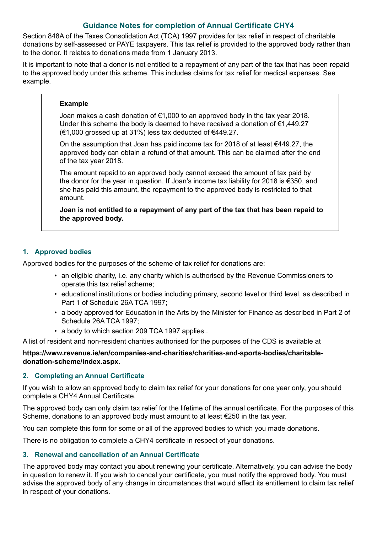## **Guidance Notes for completion of Annual Certificate CHY4**

Section 848A of the Taxes Consolidation Act (TCA) 1997 provides for tax relief in respect of charitable donations by self-assessed or PAYE taxpayers. This tax relief is provided to the approved body rather than to the donor. It relates to donations made from 1 January 2013.

It is important to note that a donor is not entitled to a repayment of any part of the tax that has been repaid to the approved body under this scheme. This includes claims for tax relief for medical expenses. See example.

#### **Example**

Joan makes a cash donation of €1,000 to an approved body in the tax year 2018. Under this scheme the body is deemed to have received a donation of €1,449.27 (€1,000 grossed up at 31%) less tax deducted of €449.27.

On the assumption that Joan has paid income tax for 2018 of at least €449.27, the approved body can obtain a refund of that amount. This can be claimed after the end of the tax year 2018.

The amount repaid to an approved body cannot exceed the amount of tax paid by the donor for the year in question. If Joan's income tax liability for 2018 is €350, and she has paid this amount, the repayment to the approved body is restricted to that amount.

**Joan is not entitled to a repayment of any part of the tax that has been repaid to the approved body.**

### **1. Approved bodies**

Approved bodies for the purposes of the scheme of tax relief for donations are:

- an eligible charity, i.e. any charity which is authorised by the Revenue Commissioners to operate this tax relief scheme;
- educational institutions or bodies including primary, second level or third level, as described in Part 1 of Schedule 26A TCA 1997;
- a body approved for Education in the Arts by the Minister for Finance as described in Part 2 of Schedule 26A TCA 1997;
- a body to which section 209 TCA 1997 applies..

A list of resident and non-resident charities authorised for the purposes of the CDS is available at

#### **https://www.revenue.ie/en/companies-and-charities/charities-and-sports-bodies/charitabledonation-scheme/index.aspx.**

#### **2. Completing an Annual Certificate**

If you wish to allow an approved body to claim tax relief for your donations for one year only, you should complete a CHY4 Annual Certificate.

The approved body can only claim tax relief for the lifetime of the annual certificate. For the purposes of this Scheme, donations to an approved body must amount to at least €250 in the tax year.

You can complete this form for some or all of the approved bodies to which you made donations.

There is no obligation to complete a CHY4 certificate in respect of your donations.

#### **3. Renewal and cancellation of an Annual Certificate**

The approved body may contact you about renewing your certificate. Alternatively, you can advise the body in question to renew it. If you wish to cancel your certificate, you must notify the approved body. You must advise the approved body of any change in circumstances that would affect its entitlement to claim tax relief in respect of your donations.